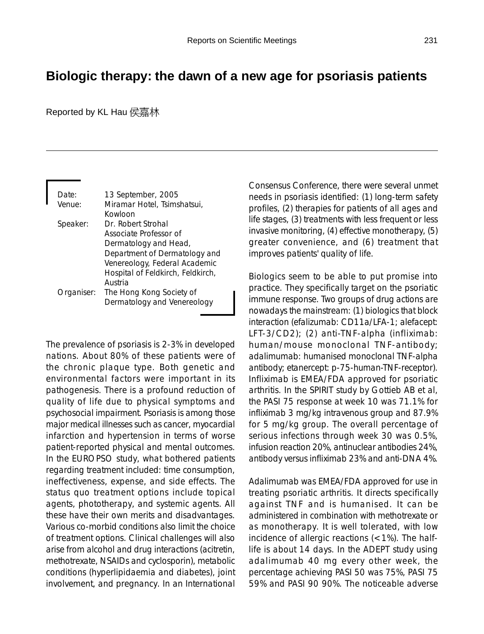## **Biologic therapy: the dawn of a new age for psoriasis patients**

Reported by KL Hau 侯嘉林

| Date:      | 13 September, 2005                |
|------------|-----------------------------------|
| Venue:     | Miramar Hotel, Tsimshatsui,       |
|            | Kowloon                           |
| Speaker:   | Dr. Robert Strohal                |
|            | Associate Professor of            |
|            | Dermatology and Head,             |
|            | Department of Dermatology and     |
|            | Venereology, Federal Academic     |
|            | Hospital of Feldkirch, Feldkirch, |
|            | Austria                           |
| Organiser: | The Hong Kong Society of          |
|            | Dermatology and Venereology       |
|            |                                   |

The prevalence of psoriasis is 2-3% in developed nations. About 80% of these patients were of the chronic plaque type. Both genetic and environmental factors were important in its pathogenesis. There is a profound reduction of quality of life due to physical symptoms and psychosocial impairment. Psoriasis is among those major medical illnesses such as cancer, myocardial infarction and hypertension in terms of worse patient-reported physical and mental outcomes. In the EUROPSO study, what bothered patients regarding treatment included: time consumption, ineffectiveness, expense, and side effects. The status quo treatment options include topical agents, phototherapy, and systemic agents. All these have their own merits and disadvantages. Various co-morbid conditions also limit the choice of treatment options. Clinical challenges will also arise from alcohol and drug interactions (acitretin, methotrexate, NSAIDs and cyclosporin), metabolic conditions (hyperlipidaemia and diabetes), joint involvement, and pregnancy. In an International Consensus Conference, there were several unmet needs in psoriasis identified: (1) long-term safety profiles, (2) therapies for patients of all ages and life stages, (3) treatments with less frequent or less invasive monitoring, (4) effective monotherapy, (5) greater convenience, and (6) treatment that improves patients' quality of life.

Biologics seem to be able to put promise into practice. They specifically target on the psoriatic immune response. Two groups of drug actions are nowadays the mainstream: (1) biologics that block interaction (efalizumab: CD11a/LFA-1; alefacept: LFT-3/CD2); (2) anti-TNF-alpha (infliximab: human/mouse monoclonal TNF-antibody; adalimumab: humanised monoclonal TNF-alpha antibody; etanercept: p-75-human-TNF-receptor). Infliximab is EMEA/FDA approved for psoriatic arthritis. In the SPIRIT study by Gottieb AB et al, the PASI 75 response at week 10 was 71.1% for infliximab 3 mg/kg intravenous group and 87.9% for 5 mg/kg group. The overall percentage of serious infections through week 30 was 0.5%, infusion reaction 20%, antinuclear antibodies 24%, antibody versus infliximab 23% and anti-DNA 4%.

Adalimumab was EMEA/FDA approved for use in treating psoriatic arthritis. It directs specifically against TNF and is humanised. It can be administered in combination with methotrexate or as monotherapy. It is well tolerated, with low incidence of allergic reactions (<1%). The halflife is about 14 days. In the ADEPT study using adalimumab 40 mg every other week, the percentage achieving PASI 50 was 75%, PASI 75 59% and PASI 90 90%. The noticeable adverse